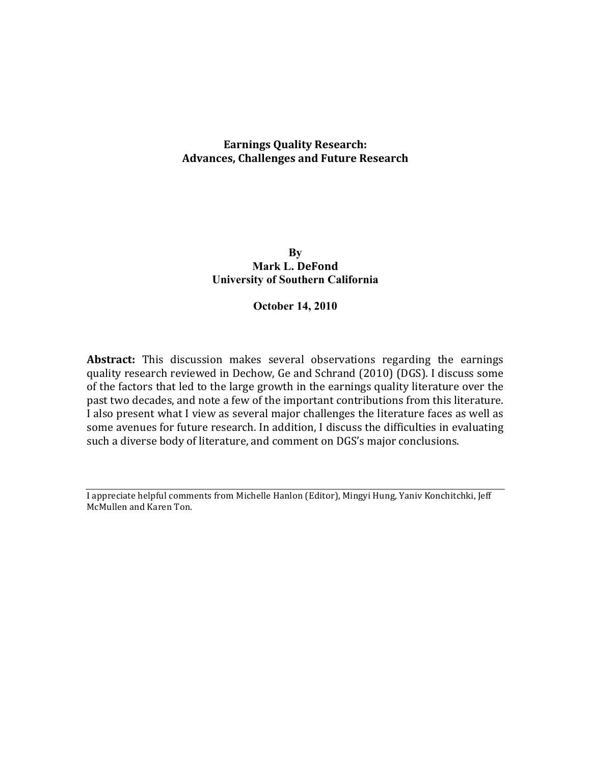# **Earnings Quality Research: Advances,!Challenges!and!Future!Research**

## **By Mark L. DeFond University of Southern California**

## **October 14, 2010**

Abstract: This discussion makes several observations regarding the earnings quality research reviewed in Dechow, Ge and Schrand (2010) (DGS). I discuss some of the factors that led to the large growth in the earnings quality literature over the past two decades, and note a few of the important contributions from this literature. I also present what I view as several major challenges the literature faces as well as some avenues for future research. In addition, I discuss the difficulties in evaluating such a diverse body of literature, and comment on DGS's major conclusions.

I appreciate helpful comments from Michelle Hanlon (Editor), Mingyi Hung, Yaniv Konchitchki, Jeff McMullen and Karen Ton.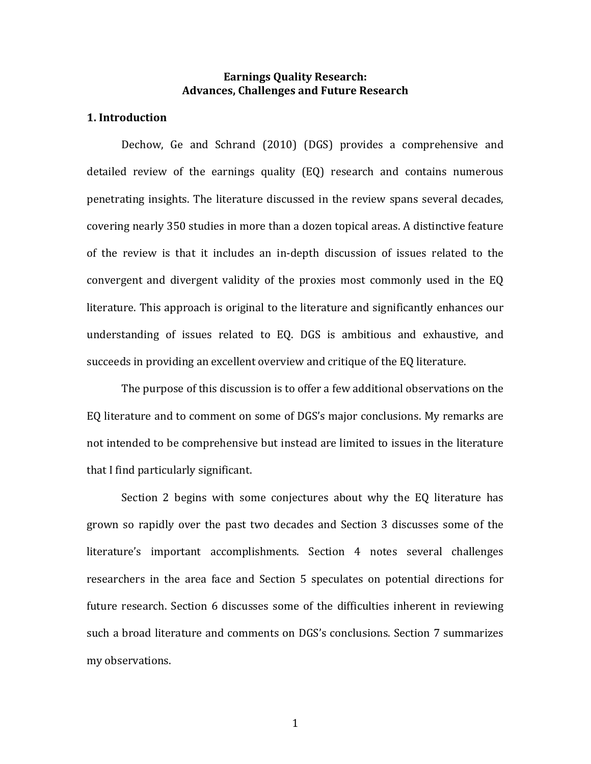## **Earnings Ouality Research: Advances,!Challenges!and!Future!Research**

## **1.** Introduction

Dechow, Ge and Schrand (2010) (DGS) provides a comprehensive and detailed review of the earnings quality (EQ) research and contains numerous penetrating insights. The literature discussed in the review spans several decades, covering nearly 350 studies in more than a dozen topical areas. A distinctive feature of the review is that it includes an in-depth discussion of issues related to the convergent and divergent validity of the proxies most commonly used in the EQ literature. This approach is original to the literature and significantly enhances our understanding of issues related to EQ. DGS is ambitious and exhaustive, and succeeds in providing an excellent overview and critique of the EQ literature.

The purpose of this discussion is to offer a few additional observations on the EQ literature and to comment on some of DGS's major conclusions. My remarks are not intended to be comprehensive but instead are limited to issues in the literature that I find particularly significant.

Section 2 begins with some conjectures about why the EQ literature has grown so rapidly over the past two decades and Section 3 discusses some of the literature's important accomplishments. Section 4 notes several challenges researchers in the area face and Section 5 speculates on potential directions for future research. Section 6 discusses some of the difficulties inherent in reviewing such a broad literature and comments on DGS's conclusions. Section 7 summarizes my!observations.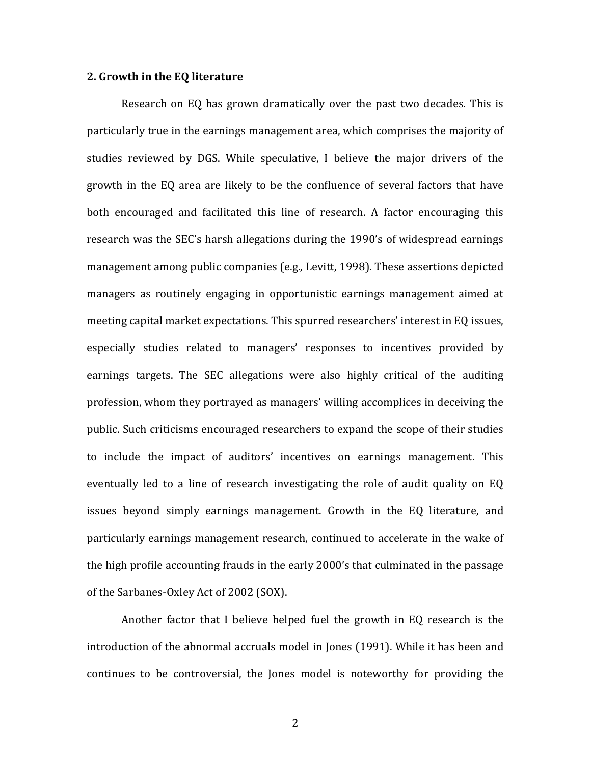#### **2. Growth in the EQ literature**

Research on EQ has grown dramatically over the past two decades. This is particularly true in the earnings management area, which comprises the majority of studies reviewed by DGS. While speculative, I believe the major drivers of the growth in the EQ area are likely to be the confluence of several factors that have both encouraged and facilitated this line of research. A factor encouraging this research was the SEC's harsh allegations during the 1990's of widespread earnings management among public companies (e.g., Levitt, 1998). These assertions depicted managers as routinely engaging in opportunistic earnings management aimed at meeting capital market expectations. This spurred researchers' interest in EQ issues, especially studies related to managers' responses to incentives provided by earnings targets. The SEC allegations were also highly critical of the auditing profession, whom they portrayed as managers' willing accomplices in deceiving the public. Such criticisms encouraged researchers to expand the scope of their studies to include the impact of auditors' incentives on earnings management. This eventually led to a line of research investigating the role of audit quality on EQ issues beyond simply earnings management. Growth in the EQ literature, and particularly earnings management research, continued to accelerate in the wake of the high profile accounting frauds in the early 2000's that culminated in the passage of the Sarbanes-Oxley Act of 2002 (SOX).

Another factor that I believe helped fuel the growth in EQ research is the introduction of the abnormal accruals model in Jones (1991). While it has been and continues to be controversial, the Jones model is noteworthy for providing the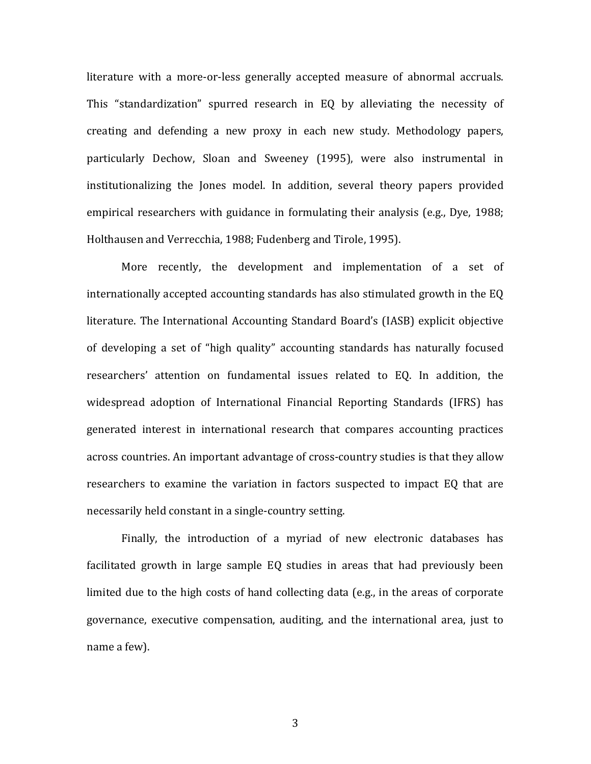literature with a more-or-less generally accepted measure of abnormal accruals. This "standardization" spurred research in EQ by alleviating the necessity of creating and defending a new proxy in each new study. Methodology papers, particularly Dechow, Sloan and Sweeney (1995), were also instrumental in institutionalizing the Jones model. In addition, several theory papers provided empirical researchers with guidance in formulating their analysis (e.g., Dye, 1988; Holthausen and Verrecchia, 1988; Fudenberg and Tirole, 1995).

More recently, the development and implementation of a set of internationally accepted accounting standards has also stimulated growth in the EQ literature. The International Accounting Standard Board's (IASB) explicit objective of developing a set of "high quality" accounting standards has naturally focused researchers' attention on fundamental issues related to EQ. In addition, the widespread adoption of International Financial Reporting Standards (IFRS) has generated interest in international research that compares accounting practices across countries. An important advantage of cross-country studies is that they allow researchers to examine the variation in factors suspected to impact EQ that are necessarily held constant in a single-country setting.

Finally, the introduction of a myriad of new electronic databases has facilitated growth in large sample EQ studies in areas that had previously been limited due to the high costs of hand collecting data (e.g., in the areas of corporate governance, executive compensation, auditing, and the international area, just to name a few).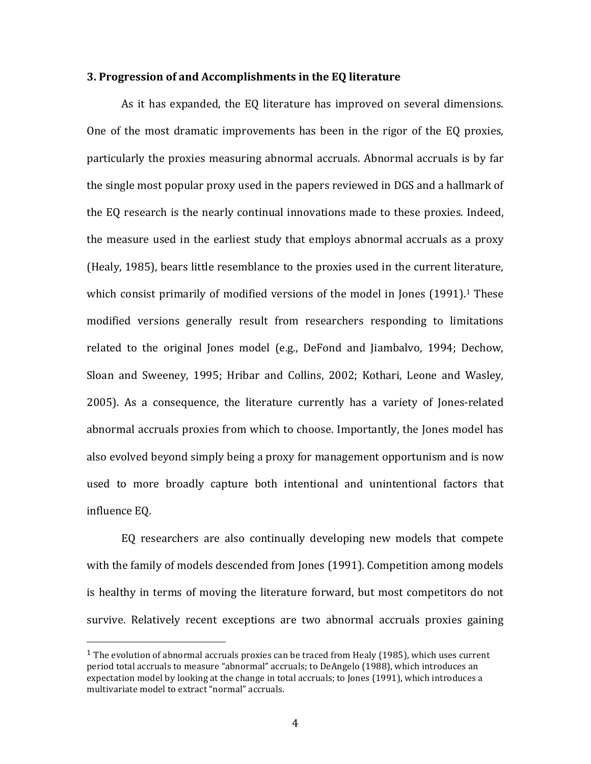#### **3. Progression of and Accomplishments in the EQ literature**

As it has expanded, the EQ literature has improved on several dimensions. One of the most dramatic improvements has been in the rigor of the EQ proxies, particularly the proxies measuring abnormal accruals. Abnormal accruals is by far the single most popular proxy used in the papers reviewed in DGS and a hallmark of the EQ research is the nearly continual innovations made to these proxies. Indeed, the measure used in the earliest study that employs abnormal accruals as a proxy (Healy, 1985), bears little resemblance to the proxies used in the current literature, which consist primarily of modified versions of the model in Jones  $(1991).$ <sup>1</sup> These modified versions generally result from researchers responding to limitations related to the original Jones model (e.g., DeFond and Jiambalvo, 1994; Dechow, Sloan and Sweeney, 1995; Hribar and Collins, 2002; Kothari, Leone and Wasley, 2005). As a consequence, the literature currently has a variety of Jones-related abnormal accruals proxies from which to choose. Importantly, the Jones model has also evolved beyond simply being a proxy for management opportunism and is now used to more broadly capture both intentional and unintentional factors that influence EO.

EQ researchers are also continually developing new models that compete with the family of models descended from Jones (1991). Competition among models is healthy in terms of moving the literature forward, but most competitors do not survive. Relatively recent exceptions are two abnormal accruals proxies gaining

 $1$  The evolution of abnormal accruals proxies can be traced from Healy (1985), which uses current period total accruals to measure "abnormal" accruals; to DeAngelo (1988), which introduces an expectation model by looking at the change in total accruals; to Jones (1991), which introduces a multivariate model to extract "normal" accruals.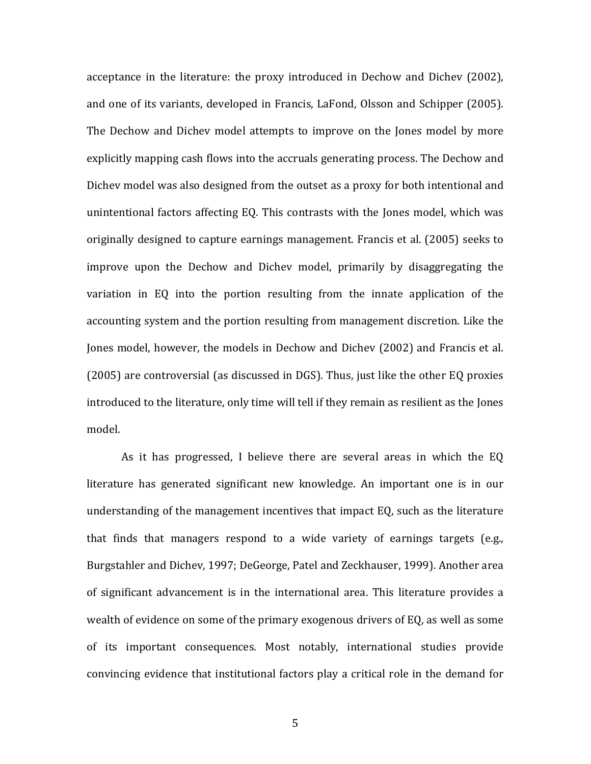acceptance in the literature: the proxy introduced in Dechow and Dichev (2002), and one of its variants, developed in Francis, LaFond, Olsson and Schipper (2005). The Dechow and Dichev model attempts to improve on the Jones model by more explicitly mapping cash flows into the accruals generating process. The Dechow and Dichev model was also designed from the outset as a proxy for both intentional and unintentional factors affecting EQ. This contrasts with the Jones model, which was originally designed to capture earnings management. Francis et al. (2005) seeks to improve upon the Dechow and Dichev model, primarily by disaggregating the variation in EQ into the portion resulting from the innate application of the accounting system and the portion resulting from management discretion. Like the Jones model, however, the models in Dechow and Dichev (2002) and Francis et al.  $(2005)$  are controversial (as discussed in DGS). Thus, just like the other EQ proxies introduced to the literature, only time will tell if they remain as resilient as the Jones model.

As it has progressed, I believe there are several areas in which the EQ literature has generated significant new knowledge. An important one is in our understanding of the management incentives that impact EQ, such as the literature that finds that managers respond to a wide variety of earnings targets (e.g., Burgstahler and Dichev, 1997; DeGeorge, Patel and Zeckhauser, 1999). Another area of significant advancement is in the international area. This literature provides a wealth of evidence on some of the primary exogenous drivers of EQ, as well as some of its important consequences. Most notably, international studies provide convincing evidence that institutional factors play a critical role in the demand for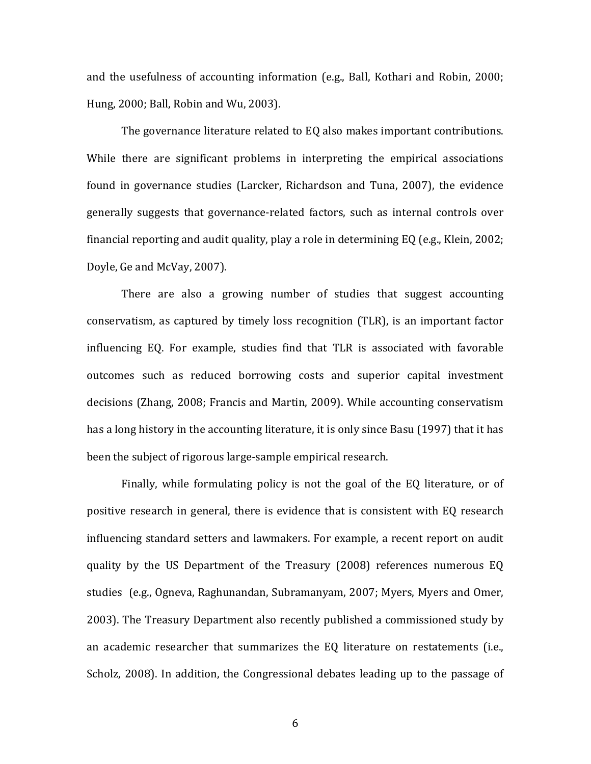and the usefulness of accounting information (e.g., Ball, Kothari and Robin, 2000; Hung, 2000; Ball, Robin and Wu, 2003).

The governance literature related to EQ also makes important contributions. While there are significant problems in interpreting the empirical associations found in governance studies (Larcker, Richardson and Tuna, 2007), the evidence generally suggests that governance-related factors, such as internal controls over financial reporting and audit quality, play a role in determining EQ (e.g., Klein, 2002; Doyle, Ge and McVay, 2007).

There are also a growing number of studies that suggest accounting conservatism, as captured by timely loss recognition (TLR), is an important factor influencing EQ. For example, studies find that TLR is associated with favorable outcomes such as reduced borrowing costs and superior capital investment decisions (Zhang, 2008; Francis and Martin, 2009). While accounting conservatism has a long history in the accounting literature, it is only since Basu (1997) that it has been the subject of rigorous large-sample empirical research.

Finally, while formulating policy is not the goal of the EQ literature, or of positive research in general, there is evidence that is consistent with EQ research influencing standard setters and lawmakers. For example, a recent report on audit quality by the US Department of the Treasury (2008) references numerous EQ studies (e.g., Ogneva, Raghunandan, Subramanyam, 2007; Myers, Myers and Omer, 2003). The Treasury Department also recently published a commissioned study by an academic researcher that summarizes the  $EQ$  literature on restatements (i.e., Scholz, 2008). In addition, the Congressional debates leading up to the passage of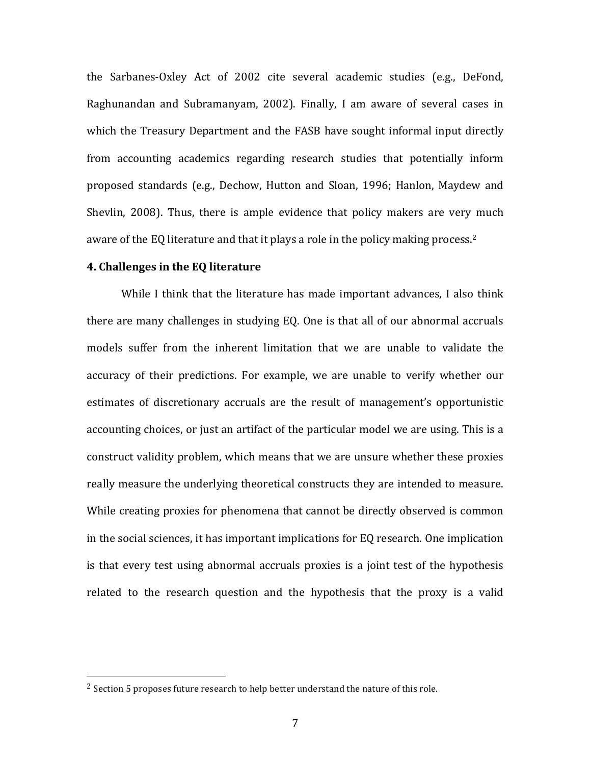the Sarbanes-Oxley Act of 2002 cite several academic studies (e.g., DeFond, Raghunandan and Subramanyam, 2002). Finally, I am aware of several cases in which the Treasury Department and the FASB have sought informal input directly from accounting academics regarding research studies that potentially inform proposed standards (e.g., Dechow, Hutton and Sloan, 1996; Hanlon, Maydew and Shevlin, 2008). Thus, there is ample evidence that policy makers are very much aware of the EQ literature and that it plays a role in the policy making process.<sup>2</sup>

## **4. Challenges in the EQ literature**

!!!!!!!!!!!!!!!!!!!!!!!!!!!!!!!!!!!!!!!!!!!!!!!!!!!!!!!

While I think that the literature has made important advances, I also think there are many challenges in studying EQ. One is that all of our abnormal accruals models suffer from the inherent limitation that we are unable to validate the accuracy of their predictions. For example, we are unable to verify whether our estimates of discretionary accruals are the result of management's opportunistic accounting choices, or just an artifact of the particular model we are using. This is a construct validity problem, which means that we are unsure whether these proxies really measure the underlying theoretical constructs they are intended to measure. While creating proxies for phenomena that cannot be directly observed is common in the social sciences, it has important implications for  $EQ$  research. One implication is that every test using abnormal accruals proxies is a joint test of the hypothesis related to the research question and the hypothesis that the proxy is a valid

<sup>&</sup>lt;sup>2</sup> Section 5 proposes future research to help better understand the nature of this role.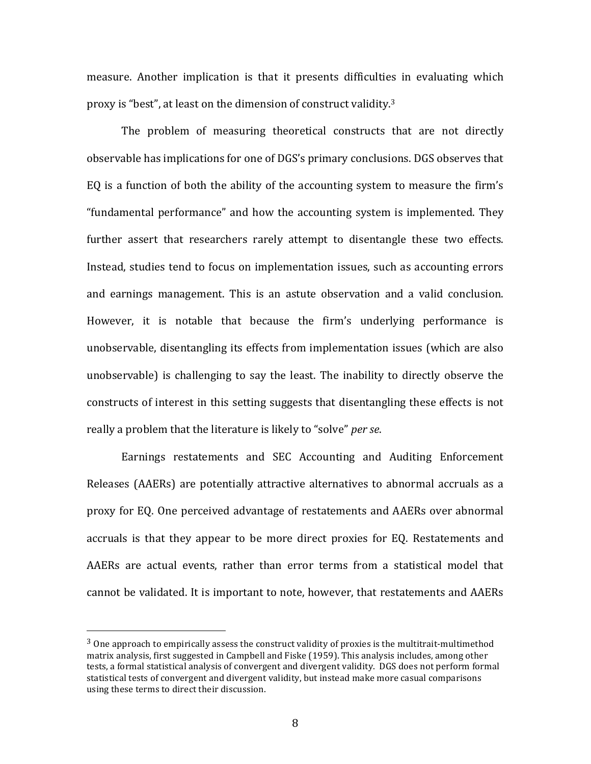measure. Another implication is that it presents difficulties in evaluating which proxy is "best", at least on the dimension of construct validity.<sup>3</sup>

The problem of measuring theoretical constructs that are not directly observable has implications for one of DGS's primary conclusions. DGS observes that EQ is a function of both the ability of the accounting system to measure the firm's "fundamental performance" and how the accounting system is implemented. They further assert that researchers rarely attempt to disentangle these two effects. Instead, studies tend to focus on implementation issues, such as accounting errors and earnings management. This is an astute observation and a valid conclusion. However, it is notable that because the firm's underlying performance is unobservable, disentangling its effects from implementation issues (which are also unobservable) is challenging to say the least. The inability to directly observe the constructs of interest in this setting suggests that disentangling these effects is not really a problem that the literature is likely to "solve" *per se*.

Earnings restatements and SEC Accounting and Auditing Enforcement Releases (AAERs) are potentially attractive alternatives to abnormal accruals as a proxy for EQ. One perceived advantage of restatements and AAERs over abnormal accruals is that they appear to be more direct proxies for EQ. Restatements and AAERs are actual events, rather than error terms from a statistical model that cannot be validated. It is important to note, however, that restatements and AAERs

 $3$  One approach to empirically assess the construct validity of proxies is the multitrait-multimethod matrix analysis, first suggested in Campbell and Fiske (1959). This analysis includes, among other tests, a formal statistical analysis of convergent and divergent validity. DGS does not perform formal statistical tests of convergent and divergent validity, but instead make more casual comparisons using these terms to direct their discussion.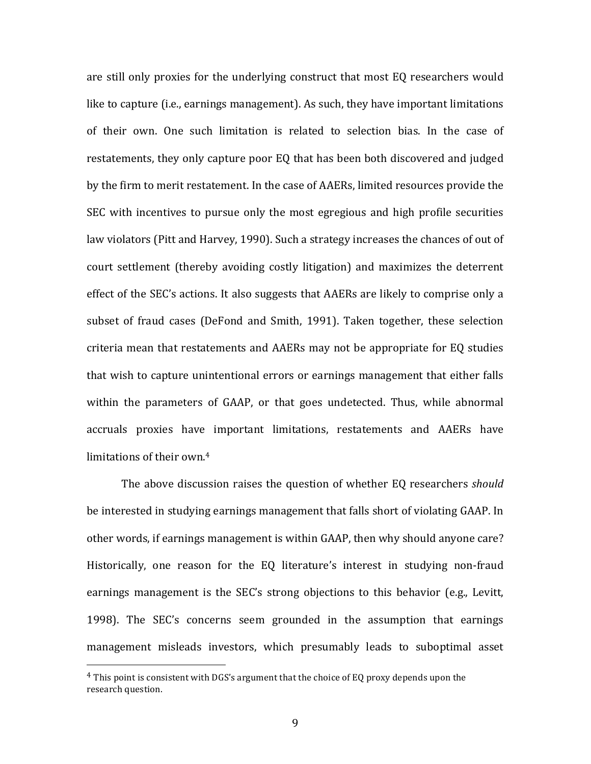are still only proxies for the underlying construct that most EQ researchers would like to capture (i.e., earnings management). As such, they have important limitations of their own. One such limitation is related to selection bias. In the case of restatements, they only capture poor EQ that has been both discovered and judged by the firm to merit restatement. In the case of AAERs, limited resources provide the SEC with incentives to pursue only the most egregious and high profile securities law violators (Pitt and Harvey, 1990). Such a strategy increases the chances of out of court settlement (thereby avoiding costly litigation) and maximizes the deterrent effect of the SEC's actions. It also suggests that AAERs are likely to comprise only a subset of fraud cases (DeFond and Smith, 1991). Taken together, these selection criteria mean that restatements and AAERs may not be appropriate for EQ studies that wish to capture unintentional errors or earnings management that either falls within the parameters of GAAP, or that goes undetected. Thus, while abnormal accruals proxies have important limitations, restatements and AAERs have limitations of their own.<sup>4</sup>

The above discussion raises the question of whether EQ researchers *should* be interested in studying earnings management that falls short of violating GAAP. In other words, if earnings management is within GAAP, then why should anyone care? Historically, one reason for the EQ literature's interest in studying non-fraud earnings management is the SEC's strong objections to this behavior (e.g., Levitt, 1998). The SEC's concerns seem grounded in the assumption that earnings management misleads investors, which presumably leads to suboptimal asset

 $4$  This point is consistent with DGS's argument that the choice of EQ proxy depends upon the research question.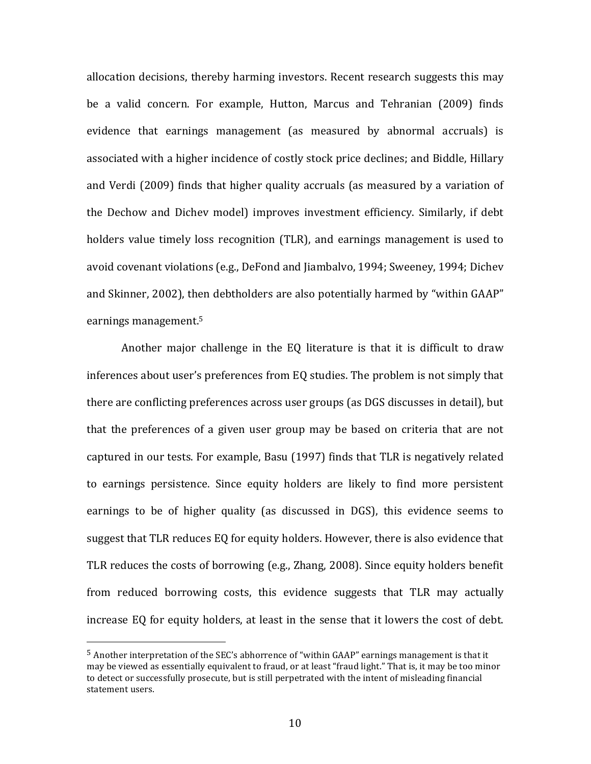allocation decisions, thereby harming investors. Recent research suggests this may be a valid concern. For example, Hutton, Marcus and Tehranian (2009) finds evidence that earnings management (as measured by abnormal accruals) is associated with a higher incidence of costly stock price declines; and Biddle, Hillary and Verdi (2009) finds that higher quality accruals (as measured by a variation of the Dechow and Dichev model) improves investment efficiency. Similarly, if debt holders value timely loss recognition (TLR), and earnings management is used to avoid covenant violations (e.g., DeFond and Jiambalvo, 1994; Sweeney, 1994; Dichev and Skinner, 2002), then debtholders are also potentially harmed by "within GAAP" earnings management. 5

Another major challenge in the EQ literature is that it is difficult to draw inferences about user's preferences from EQ studies. The problem is not simply that there are conflicting preferences across user groups (as DGS discusses in detail), but that the preferences of a given user group may be based on criteria that are not captured in our tests. For example, Basu (1997) finds that TLR is negatively related to earnings persistence. Since equity holders are likely to find more persistent earnings to be of higher quality (as discussed in DGS), this evidence seems to suggest that TLR reduces EQ for equity holders. However, there is also evidence that TLR reduces the costs of borrowing (e.g., Zhang, 2008). Since equity holders benefit from reduced borrowing costs, this evidence suggests that TLR may actually increase EQ for equity holders, at least in the sense that it lowers the cost of debt.

 $5$  Another interpretation of the SEC's abhorrence of "within GAAP" earnings management is that it may be viewed as essentially equivalent to fraud, or at least "fraud light." That is, it may be too minor to detect or successfully prosecute, but is still perpetrated with the intent of misleading financial statement users.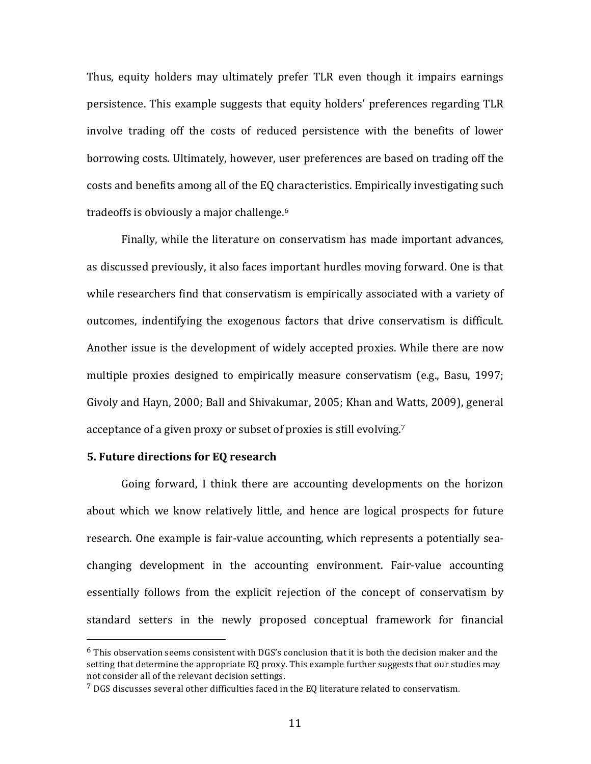Thus, equity holders may ultimately prefer TLR even though it impairs earnings persistence. This example suggests that equity holders' preferences regarding TLR involve trading off the costs of reduced persistence with the benefits of lower borrowing costs. Ultimately, however, user preferences are based on trading off the costs and benefits among all of the EQ characteristics. Empirically investigating such tradeoffs is obviously a major challenge.<sup>6</sup>

Finally, while the literature on conservatism has made important advances, as discussed previously, it also faces important hurdles moving forward. One is that while researchers find that conservatism is empirically associated with a variety of outcomes, indentifying the exogenous factors that drive conservatism is difficult. Another issue is the development of widely accepted proxies. While there are now multiple proxies designed to empirically measure conservatism (e.g., Basu, 1997; Givoly and Hayn, 2000; Ball and Shivakumar, 2005; Khan and Watts, 2009), general acceptance of a given proxy or subset of proxies is still evolving.<sup>7</sup>

## **5. Future directions for EQ research**

!!!!!!!!!!!!!!!!!!!!!!!!!!!!!!!!!!!!!!!!!!!!!!!!!!!!!!!

Going forward, I think there are accounting developments on the horizon about which we know relatively little, and hence are logical prospects for future research. One example is fair-value accounting, which represents a potentially seachanging development in the accounting environment. Fair-value accounting essentially follows from the explicit rejection of the concept of conservatism by standard setters in the newly proposed conceptual framework for financial

 $6$  This observation seems consistent with DGS's conclusion that it is both the decision maker and the setting that determine the appropriate EQ proxy. This example further suggests that our studies may not consider all of the relevant decision settings.

 $7$  DGS discusses several other difficulties faced in the EQ literature related to conservatism.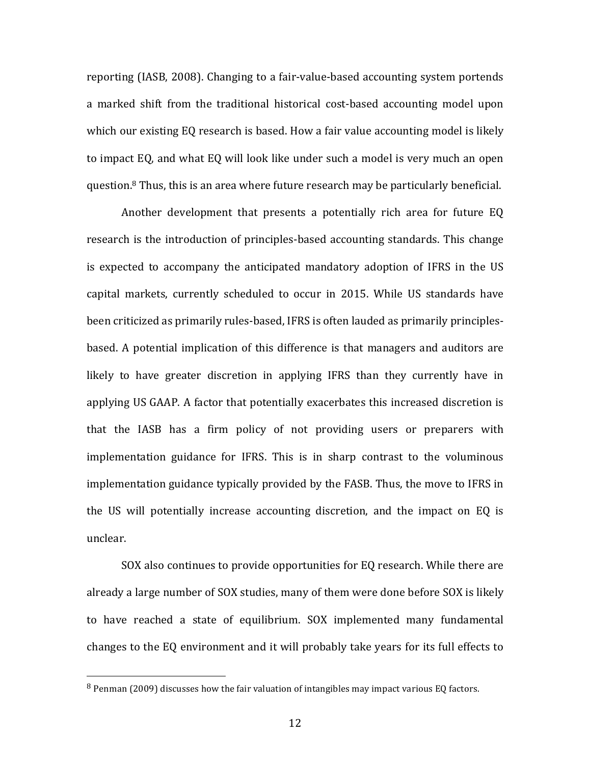reporting (IASB, 2008). Changing to a fair-value-based accounting system portends a marked shift from the traditional historical cost-based accounting model upon which our existing EQ research is based. How a fair value accounting model is likely to impact EQ, and what EQ will look like under such a model is very much an open question.<sup>8</sup> Thus, this is an area where future research may be particularly beneficial.

Another development that presents a potentially rich area for future EQ research is the introduction of principles-based accounting standards. This change is expected to accompany the anticipated mandatory adoption of IFRS in the US capital markets, currently scheduled to occur in 2015. While US standards have been criticized as primarily rules-based, IFRS is often lauded as primarily principlesbased. A potential implication of this difference is that managers and auditors are likely to have greater discretion in applying IFRS than they currently have in applying US GAAP. A factor that potentially exacerbates this increased discretion is that the IASB has a firm policy of not providing users or preparers with implementation guidance for IFRS. This is in sharp contrast to the voluminous implementation guidance typically provided by the FASB. Thus, the move to IFRS in the US will potentially increase accounting discretion, and the impact on EQ is unclear.

SOX also continues to provide opportunities for EQ research. While there are already a large number of SOX studies, many of them were done before SOX is likely to have reached a state of equilibrium. SOX implemented many fundamental changes to the EQ environment and it will probably take years for its full effects to

 $8$  Penman (2009) discusses how the fair valuation of intangibles may impact various EQ factors.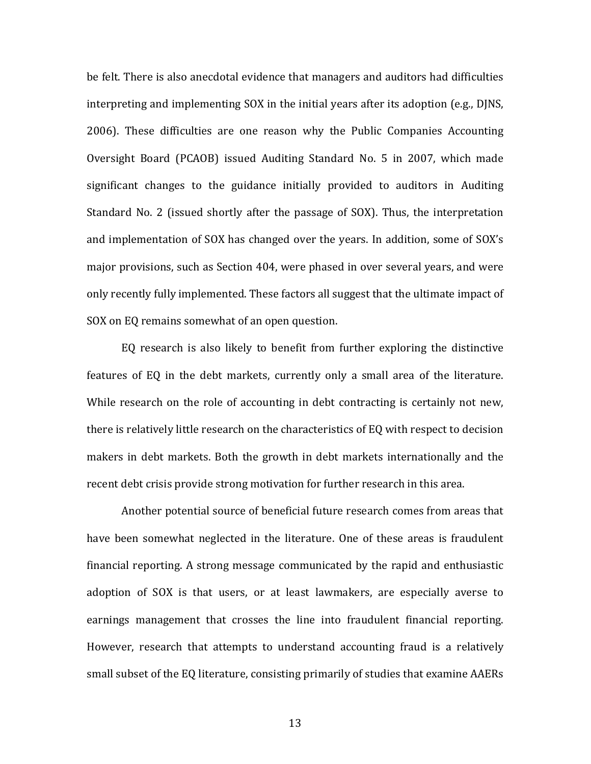be felt. There is also anecdotal evidence that managers and auditors had difficulties interpreting and implementing SOX in the initial years after its adoption (e.g., DJNS, 2006). These difficulties are one reason why the Public Companies Accounting Oversight Board (PCAOB) issued Auditing Standard No. 5 in 2007, which made significant changes to the guidance initially provided to auditors in Auditing Standard No. 2 (issued shortly after the passage of SOX). Thus, the interpretation and implementation of SOX has changed over the years. In addition, some of SOX's major provisions, such as Section 404, were phased in over several years, and were only recently fully implemented. These factors all suggest that the ultimate impact of SOX on EQ remains somewhat of an open question.

EQ research is also likely to benefit from further exploring the distinctive features of EQ in the debt markets, currently only a small area of the literature. While research on the role of accounting in debt contracting is certainly not new, there is relatively little research on the characteristics of EQ with respect to decision makers in debt markets. Both the growth in debt markets internationally and the recent debt crisis provide strong motivation for further research in this area.

Another potential source of beneficial future research comes from areas that have been somewhat neglected in the literature. One of these areas is fraudulent financial reporting. A strong message communicated by the rapid and enthusiastic adoption of SOX is that users, or at least lawmakers, are especially averse to earnings management that crosses the line into fraudulent financial reporting. However, research that attempts to understand accounting fraud is a relatively small subset of the EQ literature, consisting primarily of studies that examine AAERs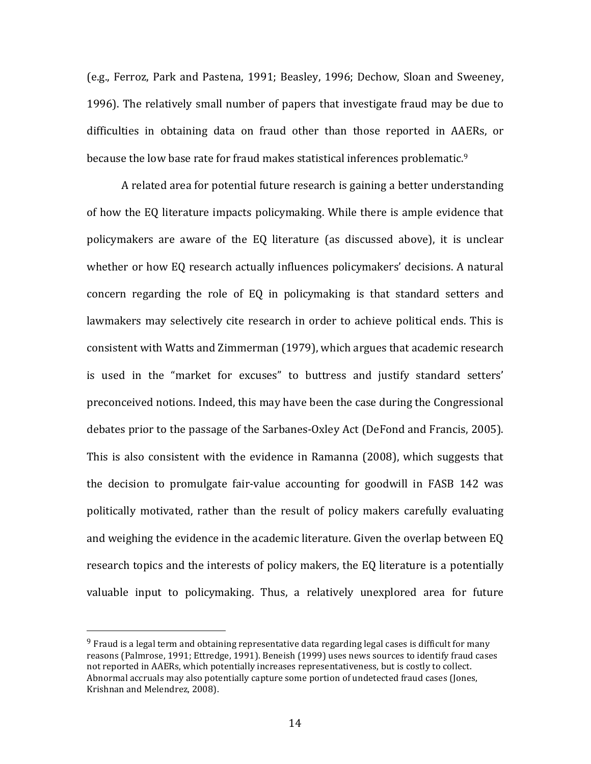(e.g., Ferroz, Park and Pastena, 1991; Beasley, 1996; Dechow, Sloan and Sweeney, 1996). The relatively small number of papers that investigate fraud may be due to difficulties in obtaining data on fraud other than those reported in AAERs, or because the low base rate for fraud makes statistical inferences problematic.<sup>9</sup>

A related area for potential future research is gaining a better understanding of how the EQ literature impacts policymaking. While there is ample evidence that policymakers are aware of the EQ literature (as discussed above), it is unclear whether or how EQ research actually influences policymakers' decisions. A natural concern regarding the role of EQ in policymaking is that standard setters and lawmakers may selectively cite research in order to achieve political ends. This is consistent with Watts and Zimmerman (1979), which argues that academic research is used in the "market for excuses" to buttress and justify standard setters' preconceived notions. Indeed, this may have been the case during the Congressional debates prior to the passage of the Sarbanes-Oxley Act (DeFond and Francis, 2005). This is also consistent with the evidence in Ramanna (2008), which suggests that the decision to promulgate fair-value accounting for goodwill in FASB 142 was politically motivated, rather than the result of policy makers carefully evaluating and weighing the evidence in the academic literature. Given the overlap between EQ research topics and the interests of policy makers, the EQ literature is a potentially valuable input to policymaking. Thus, a relatively unexplored area for future

 $9$  Fraud is a legal term and obtaining representative data regarding legal cases is difficult for many reasons (Palmrose, 1991; Ettredge, 1991). Beneish (1999) uses news sources to identify fraud cases not reported in AAERs, which potentially increases representativeness, but is costly to collect. Abnormal accruals may also potentially capture some portion of undetected fraud cases (Jones, Krishnan and Melendrez, 2008).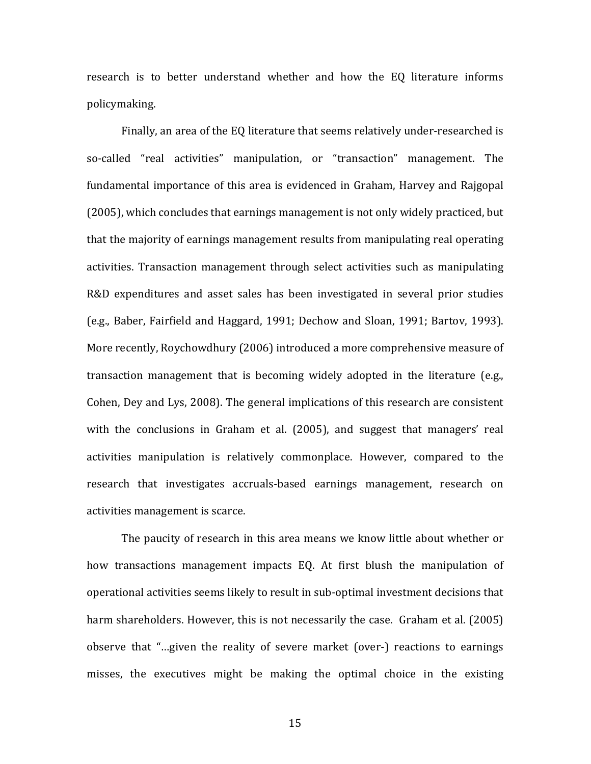research is to better understand whether and how the EQ literature informs policymaking.!

Finally, an area of the EQ literature that seems relatively under-researched is so-called "real activities" manipulation, or "transaction" management. The fundamental importance of this area is evidenced in Graham, Harvey and Rajgopal (2005), which concludes that earnings management is not only widely practiced, but that the majority of earnings management results from manipulating real operating activities. Transaction management through select activities such as manipulating R&D expenditures and asset sales has been investigated in several prior studies (e.g., Baber, Fairfield and Haggard, 1991; Dechow and Sloan, 1991; Bartov, 1993). More recently, Roychowdhury (2006) introduced a more comprehensive measure of transaction management that is becoming widely adopted in the literature (e.g., Cohen, Dey and Lys, 2008). The general implications of this research are consistent with the conclusions in Graham et al. (2005), and suggest that managers' real activities manipulation is relatively commonplace. However, compared to the research that investigates accruals-based earnings management, research on activities management is scarce.

The paucity of research in this area means we know little about whether or how transactions management impacts EQ. At first blush the manipulation of operational activities seems likely to result in sub-optimal investment decisions that harm shareholders. However, this is not necessarily the case. Graham et al. (2005) observe that "...given the reality of severe market (over-) reactions to earnings misses, the executives might be making the optimal choice in the existing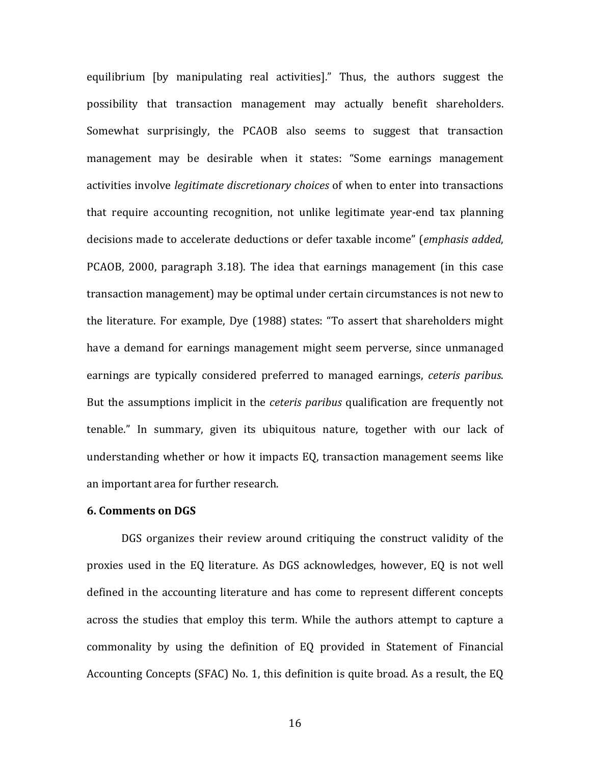equilibrium [by manipulating real activities]." Thus, the authors suggest the possibility that transaction management may actually benefit shareholders. Somewhat surprisingly, the PCAOB also seems to suggest that transaction management may be desirable when it states: "Some earnings management activities involve *legitimate discretionary choices* of when to enter into transactions that require accounting recognition, not unlike legitimate year-end tax planning decisions made to accelerate deductions or defer taxable income" (*emphasis added*, PCAOB, 2000, paragraph 3.18). The idea that earnings management (in this case transaction management) may be optimal under certain circumstances is not new to the literature. For example, Dye (1988) states: "To assert that shareholders might have a demand for earnings management might seem perverse, since unmanaged earnings are typically considered preferred to managed earnings, *ceteris paribus*. But the assumptions implicit in the *ceteris paribus* qualification are frequently not tenable." In summary, given its ubiquitous nature, together with our lack of understanding whether or how it impacts EQ, transaction management seems like an important area for further research.

## **6.!Comments!on!DGS**

DGS organizes their review around critiquing the construct validity of the proxies used in the EQ literature. As DGS acknowledges, however, EQ is not well defined in the accounting literature and has come to represent different concepts across the studies that employ this term. While the authors attempt to capture a commonality by using the definition of EQ provided in Statement of Financial Accounting Concepts (SFAC) No. 1, this definition is quite broad. As a result, the EQ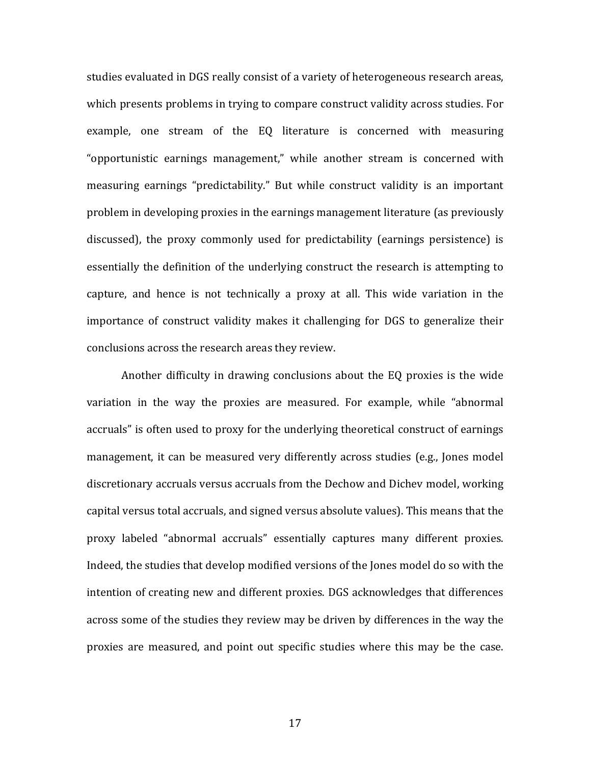studies evaluated in DGS really consist of a variety of heterogeneous research areas, which presents problems in trying to compare construct validity across studies. For example, one stream of the EQ literature is concerned with measuring "opportunistic earnings management," while another stream is concerned with measuring earnings "predictability." But while construct validity is an important problem in developing proxies in the earnings management literature (as previously discussed), the proxy commonly used for predictability (earnings persistence) is essentially the definition of the underlying construct the research is attempting to capture, and hence is not technically a proxy at all. This wide variation in the importance of construct validity makes it challenging for DGS to generalize their conclusions across the research areas they review.

Another difficulty in drawing conclusions about the EQ proxies is the wide variation in the way the proxies are measured. For example, while "abnormal accruals" is often used to proxy for the underlying theoretical construct of earnings management, it can be measured very differently across studies (e.g., Jones model discretionary accruals versus accruals from the Dechow and Dichev model, working capital versus total accruals, and signed versus absolute values). This means that the proxy labeled "abnormal accruals" essentially captures many different proxies. Indeed, the studies that develop modified versions of the Jones model do so with the intention of creating new and different proxies. DGS acknowledges that differences across some of the studies they review may be driven by differences in the way the proxies are measured, and point out specific studies where this may be the case.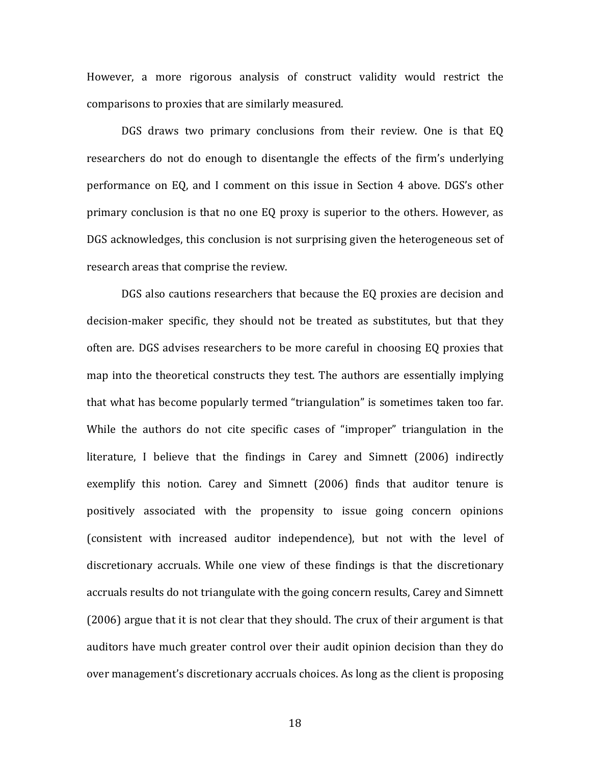However, a more rigorous analysis of construct validity would restrict the comparisons to proxies that are similarly measured.

DGS draws two primary conclusions from their review. One is that EQ researchers do not do enough to disentangle the effects of the firm's underlying performance on EQ, and I comment on this issue in Section 4 above. DGS's other primary conclusion is that no one EQ proxy is superior to the others. However, as DGS acknowledges, this conclusion is not surprising given the heterogeneous set of research areas that comprise the review.

DGS also cautions researchers that because the EQ proxies are decision and decision-maker specific, they should not be treated as substitutes, but that they often are. DGS advises researchers to be more careful in choosing EQ proxies that map into the theoretical constructs they test. The authors are essentially implying that what has become popularly termed "triangulation" is sometimes taken too far. While the authors do not cite specific cases of "improper" triangulation in the literature, I believe that the findings in Carey and Simnett (2006) indirectly exemplify this notion. Carey and Simnett (2006) finds that auditor tenure is positively associated with the propensity to issue going concern opinions (consistent with increased auditor independence), but not with the level of discretionary accruals. While one view of these findings is that the discretionary accruals results do not triangulate with the going concern results, Carey and Simnett  $(2006)$  argue that it is not clear that they should. The crux of their argument is that auditors have much greater control over their audit opinion decision than they do over management's discretionary accruals choices. As long as the client is proposing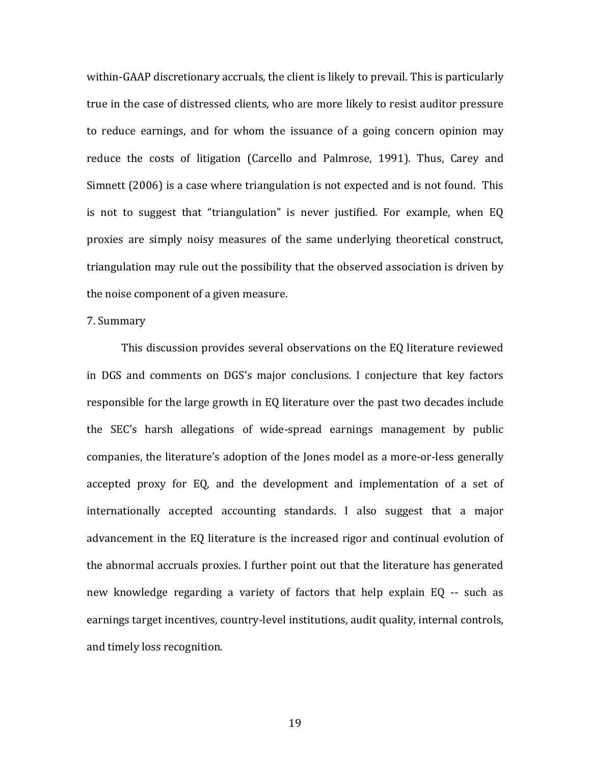within-GAAP discretionary accruals, the client is likely to prevail. This is particularly true in the case of distressed clients, who are more likely to resist auditor pressure to reduce earnings, and for whom the issuance of a going concern opinion may reduce the costs of litigation (Carcello and Palmrose, 1991). Thus, Carey and Simnett (2006) is a case where triangulation is not expected and is not found. This is not to suggest that "triangulation" is never justified. For example, when EQ proxies are simply noisy measures of the same underlying theoretical construct, triangulation may rule out the possibility that the observed association is driven by the noise component of a given measure.

#### 7. Summary

This discussion provides several observations on the EQ literature reviewed in DGS and comments on DGS's major conclusions. I conjecture that key factors responsible for the large growth in EQ literature over the past two decades include the SEC's harsh allegations of wide-spread earnings management by public companies, the literature's adoption of the Jones model as a more-or-less generally accepted proxy for EQ, and the development and implementation of a set of internationally accepted accounting standards. I also suggest that a major advancement in the EQ literature is the increased rigor and continual evolution of the abnormal accruals proxies. I further point out that the literature has generated new knowledge regarding a variety of factors that help explain EQ -- such as earnings target incentives, country-level institutions, audit quality, internal controls, and timely loss recognition.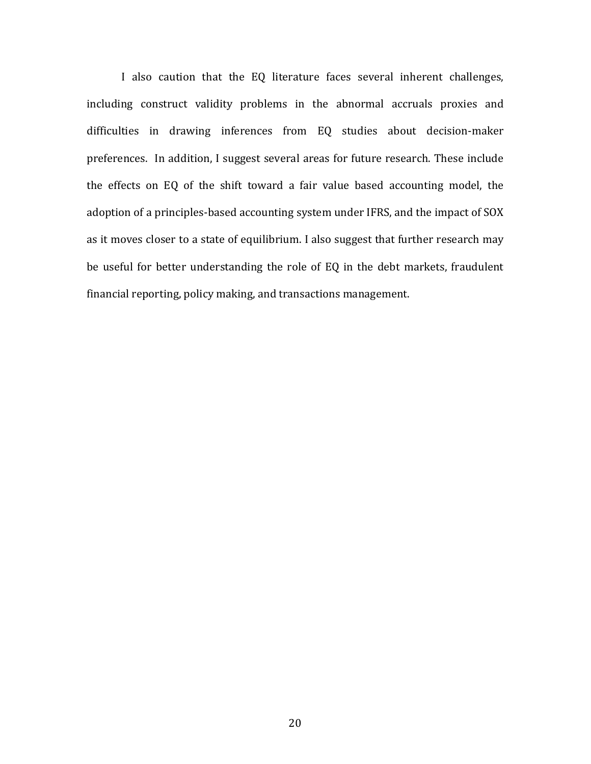I also caution that the EQ literature faces several inherent challenges, including construct validity problems in the abnormal accruals proxies and difficulties in drawing inferences from EQ studies about decision-maker preferences. In addition, I suggest several areas for future research. These include the effects on EQ of the shift toward a fair value based accounting model, the adoption of a principles-based accounting system under IFRS, and the impact of SOX as it moves closer to a state of equilibrium. I also suggest that further research may be useful for better understanding the role of EQ in the debt markets, fraudulent financial reporting, policy making, and transactions management.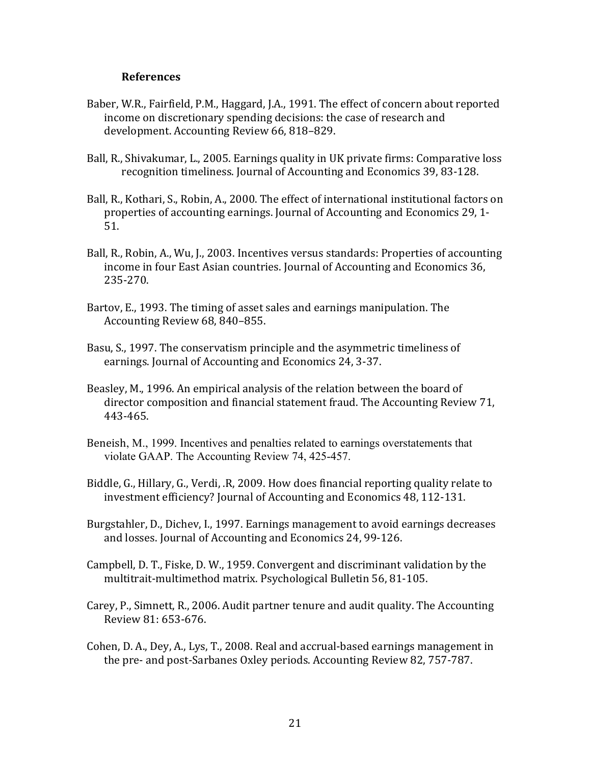## **References**

- Baber, W.R., Fairfield, P.M., Haggard, J.A., 1991. The effect of concern about reported income on discretionary spending decisions: the case of research and development. Accounting Review 66, 818-829.
- Ball, R., Shivakumar, L., 2005. Earnings quality in UK private firms: Comparative loss recognition timeliness. Journal of Accounting and Economics 39, 83-128.
- Ball, R., Kothari, S., Robin, A., 2000. The effect of international institutional factors on properties of accounting earnings. Journal of Accounting and Economics 29, 1-51.
- Ball, R., Robin, A., Wu, J., 2003. Incentives versus standards: Properties of accounting income in four East Asian countries. Journal of Accounting and Economics 36, 235-270.
- Bartov, E., 1993. The timing of asset sales and earnings manipulation. The Accounting Review 68, 840–855.
- Basu, S., 1997. The conservatism principle and the asymmetric timeliness of earnings. Journal of Accounting and Economics 24, 3-37.
- Beasley, M., 1996. An empirical analysis of the relation between the board of director composition and financial statement fraud. The Accounting Review 71, 443-465.
- Beneish, M., 1999. Incentives and penalties related to earnings overstatements that violate GAAP. The Accounting Review 74, 425-457.
- Biddle, G., Hillary, G., Verdi, .R, 2009. How does financial reporting quality relate to investment efficiency? Journal of Accounting and Economics 48, 112-131.
- Burgstahler, D., Dichev, I., 1997. Earnings management to avoid earnings decreases and losses. Journal of Accounting and Economics 24, 99-126.
- Campbell, D. T., Fiske, D. W., 1959. Convergent and discriminant validation by the multitrait-multimethod matrix. Psychological Bulletin 56, 81-105.
- Carey, P., Simnett, R., 2006. Audit partner tenure and audit quality. The Accounting Review 81: 653-676.
- Cohen, D. A., Dey, A., Lys, T., 2008. Real and accrual-based earnings management in the pre- and post-Sarbanes Oxley periods. Accounting Review 82, 757-787.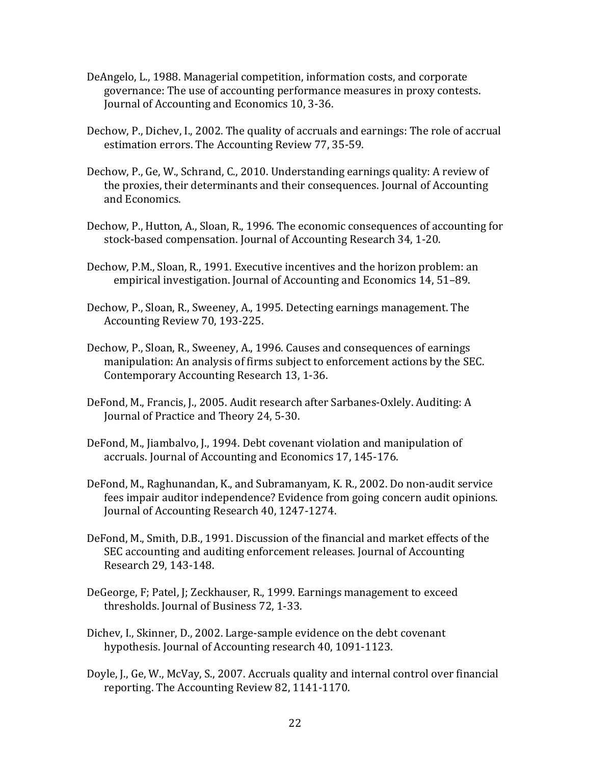- DeAngelo, L., 1988. Managerial competition, information costs, and corporate governance: The use of accounting performance measures in proxy contests. Journal of Accounting and Economics 10, 3-36.
- Dechow, P., Dichev, I., 2002. The quality of accruals and earnings: The role of accrual estimation errors. The Accounting Review 77, 35-59.
- Dechow, P., Ge, W., Schrand, C., 2010. Understanding earnings quality: A review of the proxies, their determinants and their consequences. Journal of Accounting and Economics.
- Dechow, P., Hutton, A., Sloan, R., 1996. The economic consequences of accounting for stock-based compensation. Journal of Accounting Research 34, 1-20.
- Dechow, P.M., Sloan, R., 1991. Executive incentives and the horizon problem: an empirical investigation. Journal of Accounting and Economics 14, 51–89.
- Dechow, P., Sloan, R., Sweeney, A., 1995. Detecting earnings management. The Accounting Review 70, 193-225.
- Dechow, P., Sloan, R., Sweeney, A., 1996. Causes and consequences of earnings manipulation: An analysis of firms subject to enforcement actions by the SEC. Contemporary Accounting Research 13, 1-36.
- DeFond, M., Francis, J., 2005. Audit research after Sarbanes-Oxlely. Auditing: A Journal of Practice and Theory 24, 5-30.
- DeFond, M., Jiambalvo, J., 1994. Debt covenant violation and manipulation of accruals. Journal of Accounting and Economics 17, 145-176.
- DeFond, M., Raghunandan, K., and Subramanyam, K. R., 2002. Do non-audit service fees impair auditor independence? Evidence from going concern audit opinions. Journal of Accounting Research 40, 1247-1274.
- DeFond, M., Smith, D.B., 1991. Discussion of the financial and market effects of the SEC accounting and auditing enforcement releases. Journal of Accounting Research 29, 143-148.
- DeGeorge, F; Patel, J; Zeckhauser, R., 1999. Earnings management to exceed thresholds. Journal of Business 72, 1-33.
- Dichey, I., Skinner, D., 2002. Large-sample evidence on the debt covenant hypothesis. Journal of Accounting research 40, 1091-1123.
- Doyle, J., Ge, W., McVay, S., 2007. Accruals quality and internal control over financial reporting. The Accounting Review 82, 1141-1170.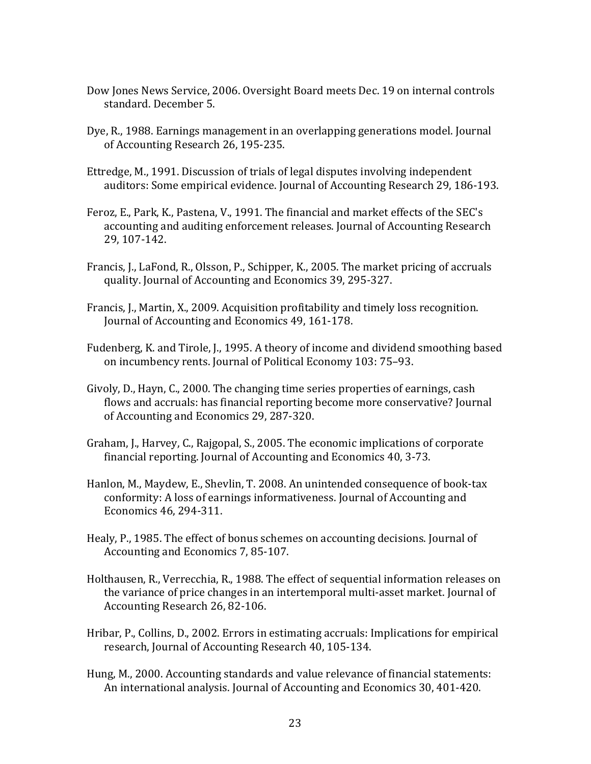- Dow Jones News Service, 2006. Oversight Board meets Dec. 19 on internal controls standard. December 5.
- Dye, R., 1988. Earnings management in an overlapping generations model. Journal of Accounting Research 26, 195-235.
- Ettredge, M., 1991. Discussion of trials of legal disputes involving independent auditors: Some empirical evidence. Journal of Accounting Research 29, 186-193.
- Feroz, E., Park, K., Pastena, V., 1991. The financial and market effects of the SEC's accounting and auditing enforcement releases. Journal of Accounting Research 29, 107-142.
- Francis, J., LaFond, R., Olsson, P., Schipper, K., 2005. The market pricing of accruals quality. Journal of Accounting and Economics 39, 295-327.
- Francis, J., Martin, X., 2009. Acquisition profitability and timely loss recognition. Journal of Accounting and Economics 49, 161-178.
- Fudenberg, K. and Tirole, J., 1995. A theory of income and dividend smoothing based on incumbency rents. Journal of Political Economy 103: 75–93.
- Givoly, D., Hayn, C., 2000. The changing time series properties of earnings, cash flows and accruals: has financial reporting become more conservative? Journal of Accounting and Economics 29, 287-320.
- Graham, J., Harvey, C., Rajgopal, S., 2005. The economic implications of corporate financial reporting. Journal of Accounting and Economics 40, 3-73.
- Hanlon, M., Maydew, E., Shevlin, T. 2008. An unintended consequence of book-tax conformity: A loss of earnings informativeness. Journal of Accounting and Economics 46, 294-311.
- Healy, P., 1985. The effect of bonus schemes on accounting decisions. Journal of Accounting and Economics 7, 85-107.
- Holthausen, R., Verrecchia, R., 1988. The effect of sequential information releases on the variance of price changes in an intertemporal multi-asset market. Journal of Accounting Research 26, 82-106.
- Hribar, P., Collins, D., 2002. Errors in estimating accruals: Implications for empirical research, Journal of Accounting Research 40, 105-134.
- Hung, M., 2000. Accounting standards and value relevance of financial statements: An international analysis. Journal of Accounting and Economics 30, 401-420.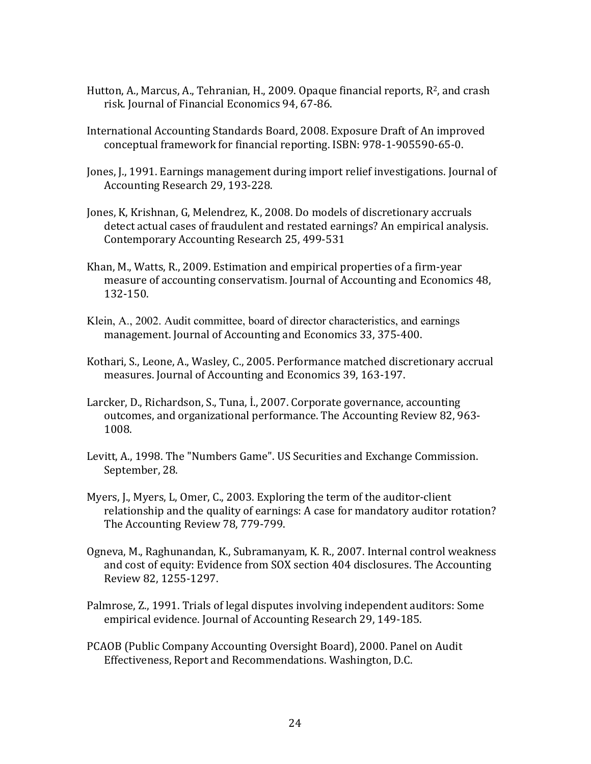- Hutton, A., Marcus, A., Tehranian, H., 2009. Opaque financial reports,  $R^2$ , and crash risk. Journal of Financial Economics 94, 67-86.
- International Accounting Standards Board, 2008. Exposure Draft of An improved conceptual framework for financial reporting. ISBN: 978-1-905590-65-0.
- Jones, J., 1991. Earnings management during import relief investigations. Journal of Accounting Research 29, 193-228.
- Jones, K, Krishnan, G, Melendrez, K., 2008. Do models of discretionary accruals detect actual cases of fraudulent and restated earnings? An empirical analysis. Contemporary Accounting Research 25, 499-531
- Khan, M., Watts, R., 2009. Estimation and empirical properties of a firm-year measure of accounting conservatism. Journal of Accounting and Economics 48, 132-150.
- Klein, A., 2002. Audit committee, board of director characteristics, and earnings management. Journal of Accounting and Economics 33, 375-400.
- Kothari, S., Leone, A., Wasley, C., 2005. Performance matched discretionary accrual measures. Journal of Accounting and Economics 39, 163-197.
- Larcker, D., Richardson, S., Tuna, İ., 2007. Corporate governance, accounting outcomes, and organizational performance. The Accounting Review 82, 963-1008.
- Levitt, A., 1998. The "Numbers Game". US Securities and Exchange Commission. September, 28.
- Myers, J., Myers, L. Omer, C., 2003. Exploring the term of the auditor-client relationship and the quality of earnings: A case for mandatory auditor rotation? The Accounting Review 78, 779-799.
- Ogneva, M., Raghunandan, K., Subramanyam, K. R., 2007. Internal control weakness and cost of equity: Evidence from SOX section 404 disclosures. The Accounting Review 82, 1255-1297.
- Palmrose, Z., 1991. Trials of legal disputes involving independent auditors: Some empirical evidence. Journal of Accounting Research 29, 149-185.
- PCAOB (Public Company Accounting Oversight Board), 2000. Panel on Audit Effectiveness, Report and Recommendations. Washington, D.C.